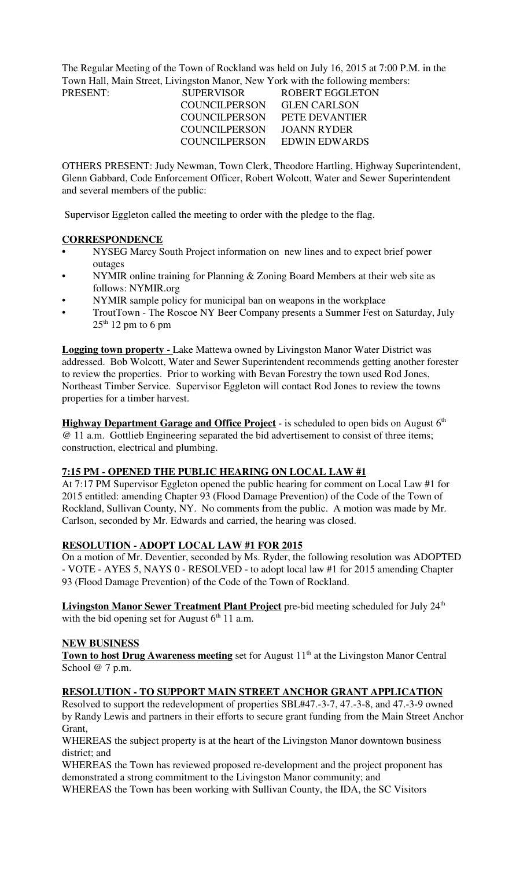The Regular Meeting of the Town of Rockland was held on July 16, 2015 at 7:00 P.M. in the Town Hall, Main Street, Livingston Manor, New York with the following members:

| PRESENT: | <b>SUPERVISOR</b>    | ROBERT EGGLETON     |
|----------|----------------------|---------------------|
|          | <b>COUNCILPERSON</b> | <b>GLEN CARLSON</b> |
|          | <b>COUNCILPERSON</b> | PETE DEVANTIER      |
|          | COUNCILPERSON        | JOANN RYDER         |
|          | COUNCILPERSON        | EDWIN EDWARDS       |

OTHERS PRESENT: Judy Newman, Town Clerk, Theodore Hartling, Highway Superintendent, Glenn Gabbard, Code Enforcement Officer, Robert Wolcott, Water and Sewer Superintendent and several members of the public:

Supervisor Eggleton called the meeting to order with the pledge to the flag.

## **CORRESPONDENCE**

- **•** NYSEG Marcy South Project information on new lines and to expect brief power outages
- NYMIR online training for Planning  $&$  Zoning Board Members at their web site as follows: NYMIR.org
- NYMIR sample policy for municipal ban on weapons in the workplace
- TroutTown The Roscoe NY Beer Company presents a Summer Fest on Saturday, July  $25<sup>th</sup> 12$  pm to 6 pm

**Logging town property -** Lake Mattewa owned by Livingston Manor Water District was addressed. Bob Wolcott, Water and Sewer Superintendent recommends getting another forester to review the properties. Prior to working with Bevan Forestry the town used Rod Jones, Northeast Timber Service. Supervisor Eggleton will contact Rod Jones to review the towns properties for a timber harvest.

**Highway Department Garage and Office Project** - is scheduled to open bids on August 6<sup>th</sup> @ 11 a.m. Gottlieb Engineering separated the bid advertisement to consist of three items; construction, electrical and plumbing.

## **7:15 PM - OPENED THE PUBLIC HEARING ON LOCAL LAW #1**

At 7:17 PM Supervisor Eggleton opened the public hearing for comment on Local Law #1 for 2015 entitled: amending Chapter 93 (Flood Damage Prevention) of the Code of the Town of Rockland, Sullivan County, NY. No comments from the public. A motion was made by Mr. Carlson, seconded by Mr. Edwards and carried, the hearing was closed.

## **RESOLUTION - ADOPT LOCAL LAW #1 FOR 2015**

On a motion of Mr. Deventier, seconded by Ms. Ryder, the following resolution was ADOPTED - VOTE - AYES 5, NAYS 0 - RESOLVED - to adopt local law #1 for 2015 amending Chapter 93 (Flood Damage Prevention) of the Code of the Town of Rockland.

**Livingston Manor Sewer Treatment Plant Project** pre-bid meeting scheduled for July 24<sup>th</sup> with the bid opening set for August  $6<sup>th</sup> 11$  a.m.

## **NEW BUSINESS**

Town to host Drug Awareness meeting set for August 11<sup>th</sup> at the Livingston Manor Central School @ 7 p.m.

### **RESOLUTION - TO SUPPORT MAIN STREET ANCHOR GRANT APPLICATION**

Resolved to support the redevelopment of properties SBL#47.-3-7, 47.-3-8, and 47.-3-9 owned by Randy Lewis and partners in their efforts to secure grant funding from the Main Street Anchor Grant,

WHEREAS the subject property is at the heart of the Livingston Manor downtown business district; and

WHEREAS the Town has reviewed proposed re-development and the project proponent has demonstrated a strong commitment to the Livingston Manor community; and WHEREAS the Town has been working with Sullivan County, the IDA, the SC Visitors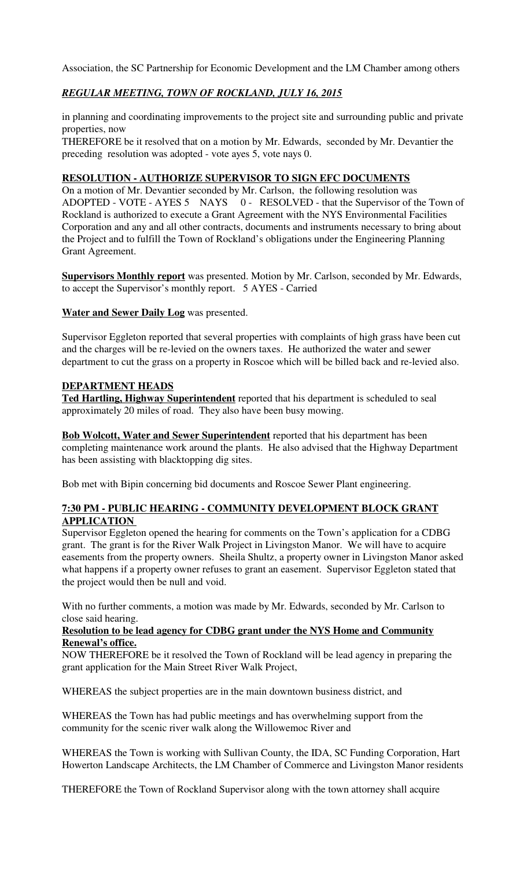Association, the SC Partnership for Economic Development and the LM Chamber among others

# *REGULAR MEETING, TOWN OF ROCKLAND, JULY 16, 2015*

in planning and coordinating improvements to the project site and surrounding public and private properties, now

THEREFORE be it resolved that on a motion by Mr. Edwards, seconded by Mr. Devantier the preceding resolution was adopted - vote ayes 5, vote nays 0.

### **RESOLUTION - AUTHORIZE SUPERVISOR TO SIGN EFC DOCUMENTS**

On a motion of Mr. Devantier seconded by Mr. Carlson, the following resolution was ADOPTED - VOTE - AYES 5 NAYS 0 - RESOLVED - that the Supervisor of the Town of Rockland is authorized to execute a Grant Agreement with the NYS Environmental Facilities Corporation and any and all other contracts, documents and instruments necessary to bring about the Project and to fulfill the Town of Rockland's obligations under the Engineering Planning Grant Agreement.

**Supervisors Monthly report** was presented. Motion by Mr. Carlson, seconded by Mr. Edwards, to accept the Supervisor's monthly report. 5 AYES - Carried

**Water and Sewer Daily Log** was presented.

Supervisor Eggleton reported that several properties with complaints of high grass have been cut and the charges will be re-levied on the owners taxes. He authorized the water and sewer department to cut the grass on a property in Roscoe which will be billed back and re-levied also.

### **DEPARTMENT HEADS**

**Ted Hartling, Highway Superintendent** reported that his department is scheduled to seal approximately 20 miles of road. They also have been busy mowing.

**Bob Wolcott, Water and Sewer Superintendent** reported that his department has been completing maintenance work around the plants. He also advised that the Highway Department has been assisting with blacktopping dig sites.

Bob met with Bipin concerning bid documents and Roscoe Sewer Plant engineering.

## **7:30 PM - PUBLIC HEARING - COMMUNITY DEVELOPMENT BLOCK GRANT APPLICATION**

Supervisor Eggleton opened the hearing for comments on the Town's application for a CDBG grant. The grant is for the River Walk Project in Livingston Manor. We will have to acquire easements from the property owners. Sheila Shultz, a property owner in Livingston Manor asked what happens if a property owner refuses to grant an easement. Supervisor Eggleton stated that the project would then be null and void.

With no further comments, a motion was made by Mr. Edwards, seconded by Mr. Carlson to close said hearing.

### **Resolution to be lead agency for CDBG grant under the NYS Home and Community Renewal's office.**

NOW THEREFORE be it resolved the Town of Rockland will be lead agency in preparing the grant application for the Main Street River Walk Project,

WHEREAS the subject properties are in the main downtown business district, and

WHEREAS the Town has had public meetings and has overwhelming support from the community for the scenic river walk along the Willowemoc River and

WHEREAS the Town is working with Sullivan County, the IDA, SC Funding Corporation, Hart Howerton Landscape Architects, the LM Chamber of Commerce and Livingston Manor residents

THEREFORE the Town of Rockland Supervisor along with the town attorney shall acquire